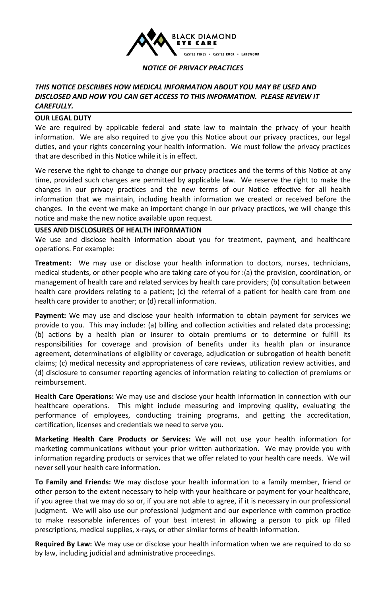

## *NOTICE OF PRIVACY PRACTICES*

# *THIS NOTICE DESCRIBES HOW MEDICAL INFORMATION ABOUT YOU MAY BE USED AND DISCLOSED AND HOW YOU CAN GET ACCESS TO THIS INFORMATION. PLEASE REVIEW IT CAREFULLY.*

## **OUR LEGAL DUTY**

We are required by applicable federal and state law to maintain the privacy of your health information. We are also required to give you this Notice about our privacy practices, our legal duties, and your rights concerning your health information. We must follow the privacy practices that are described in this Notice while it is in effect.

We reserve the right to change to change our privacy practices and the terms of this Notice at any time, provided such changes are permitted by applicable law. We reserve the right to make the changes in our privacy practices and the new terms of our Notice effective for all health information that we maintain, including health information we created or received before the changes. In the event we make an important change in our privacy practices, we will change this notice and make the new notice available upon request.

#### **USES AND DISCLOSURES OF HEALTH INFORMATION**

We use and disclose health information about you for treatment, payment, and healthcare operations. For example:

**Treatment:** We may use or disclose your health information to doctors, nurses, technicians, medical students, or other people who are taking care of you for :(a) the provision, coordination, or management of health care and related services by health care providers; (b) consultation between health care providers relating to a patient; (c) the referral of a patient for health care from one health care provider to another; or (d) recall information.

**Payment:** We may use and disclose your health information to obtain payment for services we provide to you. This may include: (a) billing and collection activities and related data processing; (b) actions by a health plan or insurer to obtain premiums or to determine or fulfill its responsibilities for coverage and provision of benefits under its health plan or insurance agreement, determinations of eligibility or coverage, adjudication or subrogation of health benefit claims; (c) medical necessity and appropriateness of care reviews, utilization review activities, and (d) disclosure to consumer reporting agencies of information relating to collection of premiums or reimbursement.

**Health Care Operations:** We may use and disclose your health information in connection with our healthcare operations. This might include measuring and improving quality, evaluating the performance of employees, conducting training programs, and getting the accreditation, certification, licenses and credentials we need to serve you.

**Marketing Health Care Products or Services:** We will not use your health information for marketing communications without your prior written authorization. We may provide you with information regarding products or services that we offer related to your health care needs. We will never sell your health care information.

**To Family and Friends:** We may disclose your health information to a family member, friend or other person to the extent necessary to help with your healthcare or payment for your healthcare, if you agree that we may do so or, if you are not able to agree, if it is necessary in our professional judgment. We will also use our professional judgment and our experience with common practice to make reasonable inferences of your best interest in allowing a person to pick up filled prescriptions, medical supplies, x-rays, or other similar forms of health information.

**Required By Law:** We may use or disclose your health information when we are required to do so by law, including judicial and administrative proceedings.